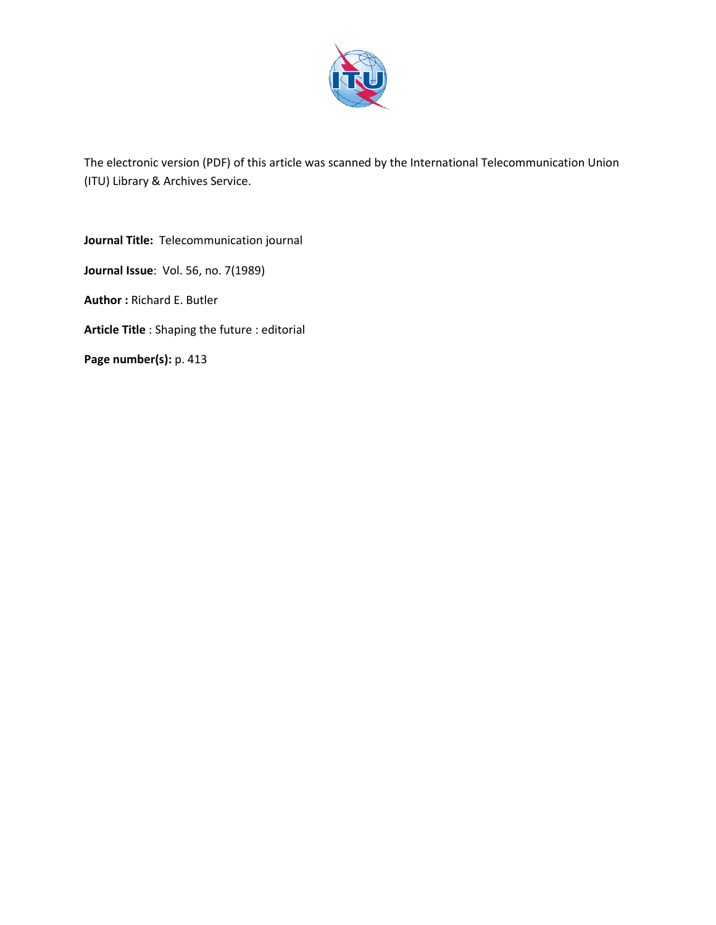

The electronic version (PDF) of this article was scanned by the International Telecommunication Union (ITU) Library & Archives Service.

**Journal Title:** Telecommunication journal **Journal Issue**: Vol. 56, no. 7(1989) **Author :** Richard E. Butler **Article Title** : Shaping the future : editorial **Page number(s):** p. 413